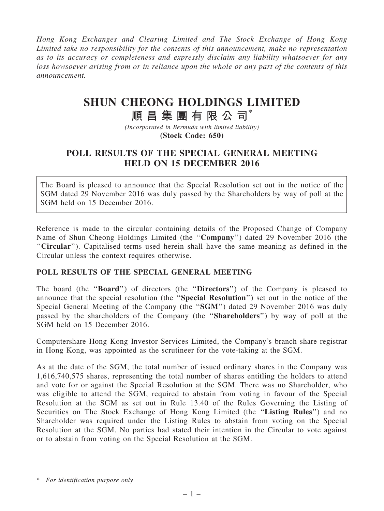Hong Kong Exchanges and Clearing Limited and The Stock Exchange of Hong Kong Limited take no responsibility for the contents of this announcement, make no representation as to its accuracy or completeness and expressly disclaim any liability whatsoever for any loss howsoever arising from or in reliance upon the whole or any part of the contents of this announcement.

# SHUN CHEONG HOLDINGS LIMITED

# 順昌集團有限公司\*

(Incorporated in Bermuda with limited liability) (Stock Code: 650)

## POLL RESULTS OF THE SPECIAL GENERAL MEETING HELD ON 15 DECEMBER 2016

The Board is pleased to announce that the Special Resolution set out in the notice of the SGM dated 29 November 2016 was duly passed by the Shareholders by way of poll at the SGM held on 15 December 2016.

Reference is made to the circular containing details of the Proposed Change of Company Name of Shun Cheong Holdings Limited (the ''Company'') dated 29 November 2016 (the ''Circular''). Capitalised terms used herein shall have the same meaning as defined in the Circular unless the context requires otherwise.

#### POLL RESULTS OF THE SPECIAL GENERAL MEETING

The board (the "**Board**") of directors (the "**Directors**") of the Company is pleased to announce that the special resolution (the ''Special Resolution'') set out in the notice of the Special General Meeting of the Company (the "SGM") dated 29 November 2016 was duly passed by the shareholders of the Company (the ''Shareholders'') by way of poll at the SGM held on 15 December 2016.

Computershare Hong Kong Investor Services Limited, the Company's branch share registrar in Hong Kong, was appointed as the scrutineer for the vote-taking at the SGM.

As at the date of the SGM, the total number of issued ordinary shares in the Company was 1,616,740,575 shares, representing the total number of shares entitling the holders to attend and vote for or against the Special Resolution at the SGM. There was no Shareholder, who was eligible to attend the SGM, required to abstain from voting in favour of the Special Resolution at the SGM as set out in Rule 13.40 of the Rules Governing the Listing of Securities on The Stock Exchange of Hong Kong Limited (the "Listing Rules") and no Shareholder was required under the Listing Rules to abstain from voting on the Special Resolution at the SGM. No parties had stated their intention in the Circular to vote against or to abstain from voting on the Special Resolution at the SGM.

<sup>\*</sup> For identification purpose only